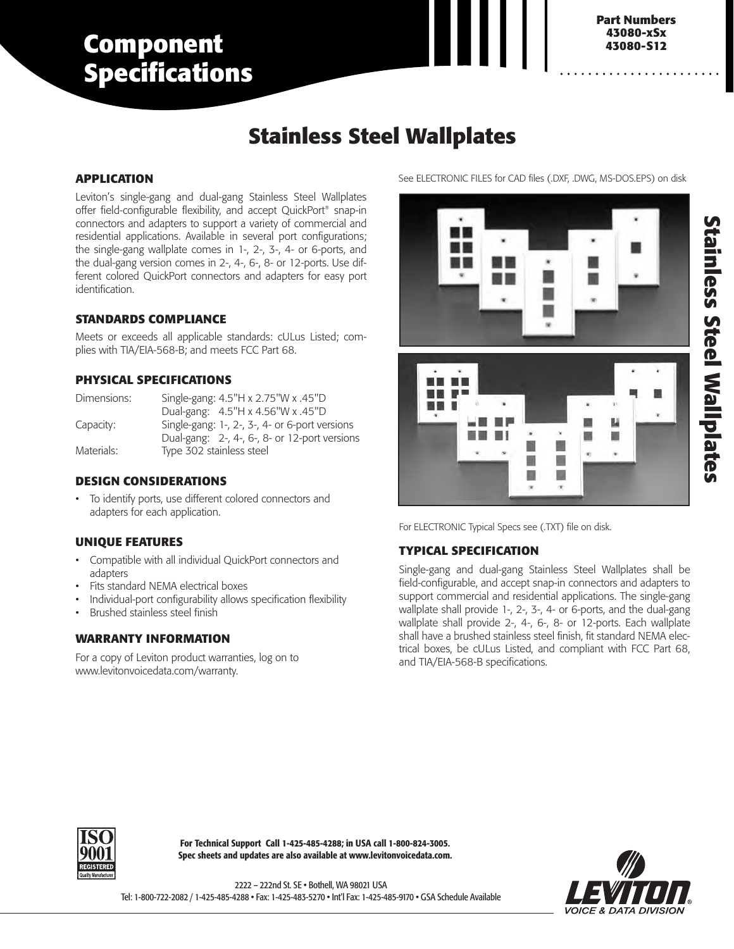# **Component Specifications**

## **3880-DIN 43080-S12 Part Numbers 43080-xSx**

## **Stainless Steel Wallplates**

#### **APPLICATION**

Leviton's single-gang and dual-gang Stainless Steel Wallplates offer field-configurable flexibility, and accept QuickPort® snap-in connectors and adapters to support a variety of commercial and residential applications. Available in several port configurations; the single-gang wallplate comes in 1-, 2-, 3-, 4- or 6-ports, and the dual-gang version comes in 2-, 4-, 6-, 8- or 12-ports. Use different colored QuickPort connectors and adapters for easy port identification.

#### **STANDARDS COMPLIANCE**

Meets or exceeds all applicable standards: cULus Listed; complies with TIA/EIA-568-B; and meets FCC Part 68.

#### **PHYSICAL SPECIFICATIONS**

| Dimensions: | Single-gang: 4.5"H x 2.75"W x .45"D            |
|-------------|------------------------------------------------|
|             | Dual-gang: 4.5"H x 4.56"W x .45"D              |
| Capacity:   | Single-gang: 1-, 2-, 3-, 4- or 6-port versions |
|             | Dual-gang: 2-, 4-, 6-, 8- or 12-port versions  |
| Materials:  | Type 302 stainless steel                       |

#### **DESIGN CONSIDERATIONS**

• To identify ports, use different colored connectors and adapters for each application.

### **UNIQUE FEATURES**

- Compatible with all individual QuickPort connectors and adapters
- Fits standard NEMA electrical boxes
- Individual-port configurability allows specification flexibility
- Brushed stainless steel finish

### **WARRANTY INFORMATION**

For a copy of Leviton product warranties, log on to www.levitonvoicedata.com/warranty.

See ELECTRONIC FILES for CAD files (.DXF, .DWG, MS-DOS.EPS) on disk





For ELECTRONIC Typical Specs see (.TXT) file on disk.

### **TYPICAL SPECIFICATION**

Single-gang and dual-gang Stainless Steel Wallplates shall be field-configurable, and accept snap-in connectors and adapters to support commercial and residential applications. The single-gang wallplate shall provide 1-, 2-, 3-, 4- or 6-ports, and the dual-gang wallplate shall provide 2-, 4-, 6-, 8- or 12-ports. Each wallplate shall have a brushed stainless steel finish, fit standard NEMA electrical boxes, be cULus Listed, and compliant with FCC Part 68, and TIA/EIA-568-B specifications.



**For Technical Support Call 1-425-485-4288; in USA call 1-800-824-3005. Spec sheets and updates are also available at www.levitonvoicedata.com.**

2222 – 222nd St. SE • Bothell, WA 98021 USA Tel: 1-800-722-2082 / 1-425-485-4288 • Fax: 1-425-483-5270 • Int'l Fax: 1-425-485-9170 • GSA Schedule Available